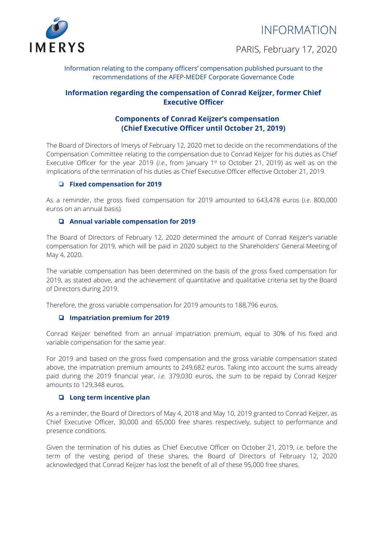INFORMATION



PARIS, February 17, 2020

Information relating to the company officers' compensation published pursuant to the recommendations of the AFEP-MEDEF Corporate Governance Code

# **Information regarding the compensation of Conrad Keijzer, former Chief Executive Officer**

# **Components of Conrad Keijzer's compensation (Chief Executive Officer until October 21, 2019)**

The Board of Directors of Imerys of February 12, 2020 met to decide on the recommendations of the Compensation Committee relating to the compensation due to Conrad Keijzer for his duties as Chief Executive Officer for the year 2019 (*i.e.*, from January 1<sup>st</sup> to October 21, 2019) as well as on the implications of the termination of his duties as Chief Executive Officer effective October 21, 2019.

## ❏ **Fixed compensation for 2019**

As a reminder, the gross fixed compensation for 2019 amounted to 643,478 euros (*i.e*. 800,000 euros on an annual basis).

## ❏ **Annual variable compensation for 2019**

The Board of Directors of February 12, 2020 determined the amount of Conrad Keijzer's variable compensation for 2019, which will be paid in 2020 subject to the Shareholders' General Meeting of May 4, 2020.

The variable compensation has been determined on the basis of the gross fixed compensation for 2019, as stated above, and the achievement of quantitative and qualitative criteria set by the Board of Directors during 2019.

Therefore, the gross variable compensation for 2019 amounts to 188,796 euros.

## ❏ **Impatriation premium for 2019**

Conrad Keijzer benefited from an annual impatriation premium, equal to 30% of his fixed and variable compensation for the same year.

For 2019 and based on the gross fixed compensation and the gross variable compensation stated above, the impatriation premium amounts to 249,682 euros. Taking into account the sums already paid during the 2019 financial year, *i.e*. 379,030 euros, the sum to be repaid by Conrad Keijzer amounts to 129,348 euros.

## ❏ **Long term incentive plan**

As a reminder, the Board of Directors of May 4, 2018 and May 10, 2019 granted to Conrad Keijzer, as Chief Executive Officer, 30,000 and 65,000 free shares respectively, subject to performance and presence conditions.

Given the termination of his duties as Chief Executive Officer on October 21, 2019, *i.e.* before the term of the vesting period of these shares, the Board of Directors of February 12, 2020 acknowledged that Conrad Keijzer has lost the benefit of all of these 95,000 free shares.